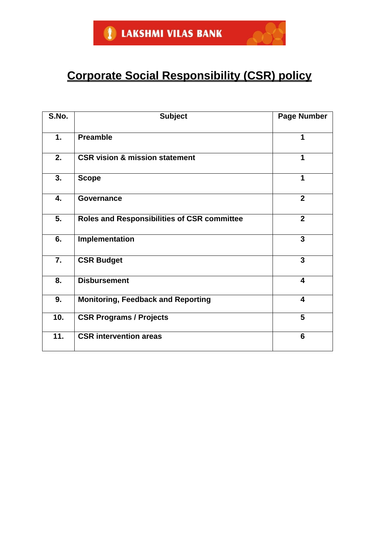# **Corporate Social Responsibility (CSR) policy**

| S.No. | <b>Subject</b>                                     | <b>Page Number</b>      |
|-------|----------------------------------------------------|-------------------------|
| 1.    | <b>Preamble</b>                                    | 1                       |
| 2.    | <b>CSR vision &amp; mission statement</b>          | 1                       |
| 3.    | <b>Scope</b>                                       | 1                       |
| 4.    | <b>Governance</b>                                  | $\overline{2}$          |
| 5.    | <b>Roles and Responsibilities of CSR committee</b> | $\overline{2}$          |
| 6.    | Implementation                                     | 3                       |
| 7.    | <b>CSR Budget</b>                                  | 3                       |
| 8.    | <b>Disbursement</b>                                | $\overline{\mathbf{4}}$ |
| 9.    | <b>Monitoring, Feedback and Reporting</b>          | $\overline{\mathbf{4}}$ |
| 10.   | <b>CSR Programs / Projects</b>                     | 5                       |
| 11.   | <b>CSR</b> intervention areas                      | 6                       |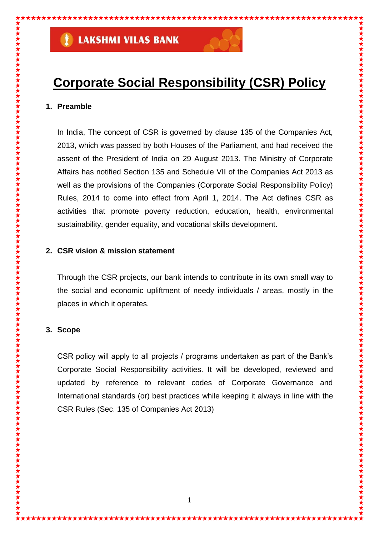

## **Corporate Social Responsibility (CSR) Policy**

#### **1. Preamble**

In India, The concept of CSR is governed by clause 135 of the Companies Act, 2013, which was passed by both Houses of the Parliament, and had received the assent of the President of India on 29 August 2013. The Ministry of Corporate Affairs has notified Section 135 and Schedule VII of the Companies Act 2013 as well as the provisions of the Companies (Corporate Social Responsibility Policy) Rules, 2014 to come into effect from April 1, 2014. The Act defines CSR as activities that promote poverty reduction, education, health, environmental sustainability, gender equality, and vocational skills development.

### **2. CSR vision & mission statement**

Through the CSR projects, our bank intends to contribute in its own small way to the social and economic upliftment of needy individuals / areas, mostly in the places in which it operates.

### **3. Scope**

CSR policy will apply to all projects / programs undertaken as part of the Bank's Corporate Social Responsibility activities. It will be developed, reviewed and updated by reference to relevant codes of Corporate Governance and International standards (or) best practices while keeping it always in line with the CSR Rules (Sec. 135 of Companies Act 2013)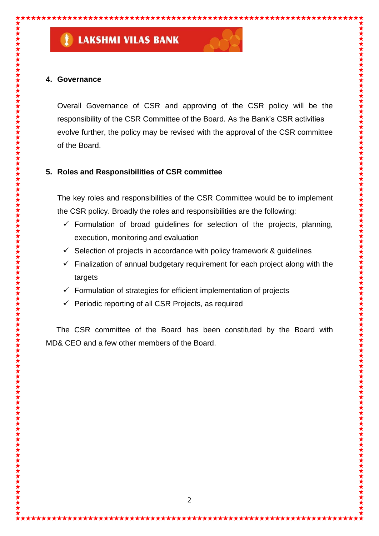## **4. Governance**

Overall Governance of CSR and approving of the CSR policy will be the responsibility of the CSR Committee of the Board. As the Bank's CSR activities evolve further, the policy may be revised with the approval of the CSR committee of the Board.

## **5. Roles and Responsibilities of CSR committee**

The key roles and responsibilities of the CSR Committee would be to implement the CSR policy. Broadly the roles and responsibilities are the following:

- $\checkmark$  Formulation of broad guidelines for selection of the projects, planning, execution, monitoring and evaluation
- $\checkmark$  Selection of projects in accordance with policy framework & guidelines
- $\checkmark$  Finalization of annual budgetary requirement for each project along with the targets
- $\checkmark$  Formulation of strategies for efficient implementation of projects
- Periodic reporting of all CSR Projects, as required

 The CSR committee of the Board has been constituted by the Board with MD& CEO and a few other members of the Board.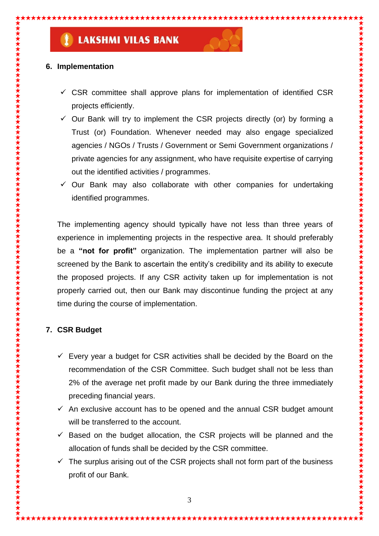## **6. Implementation**

- $\checkmark$  CSR committee shall approve plans for implementation of identified CSR projects efficiently.
- $\checkmark$  Our Bank will try to implement the CSR projects directly (or) by forming a Trust (or) Foundation. Whenever needed may also engage specialized agencies / NGOs / Trusts / Government or Semi Government organizations / private agencies for any assignment, who have requisite expertise of carrying out the identified activities / programmes.
- $\checkmark$  Our Bank may also collaborate with other companies for undertaking identified programmes.

The implementing agency should typically have not less than three years of experience in implementing projects in the respective area. It should preferably be a **"not for profit"** organization. The implementation partner will also be screened by the Bank to ascertain the entity's credibility and its ability to execute the proposed projects. If any CSR activity taken up for implementation is not properly carried out, then our Bank may discontinue funding the project at any time during the course of implementation.

## **7. CSR Budget**

- $\checkmark$  Every year a budget for CSR activities shall be decided by the Board on the recommendation of the CSR Committee. Such budget shall not be less than 2% of the average net profit made by our Bank during the three immediately preceding financial years.
- $\checkmark$  An exclusive account has to be opened and the annual CSR budget amount will be transferred to the account.
- $\checkmark$  Based on the budget allocation, the CSR projects will be planned and the allocation of funds shall be decided by the CSR committee.
- $\checkmark$  The surplus arising out of the CSR projects shall not form part of the business profit of our Bank.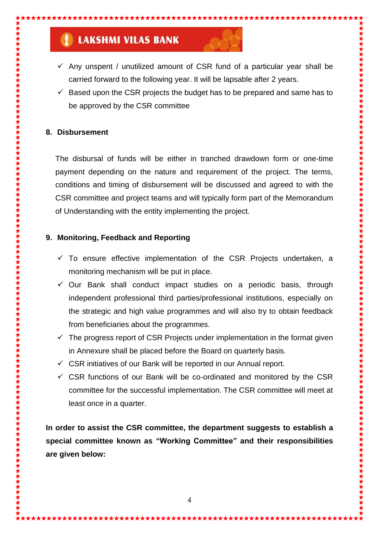- $\checkmark$  Any unspent / unutilized amount of CSR fund of a particular year shall be carried forward to the following year. It will be lapsable after 2 years.
- $\checkmark$  Based upon the CSR projects the budget has to be prepared and same has to be approved by the CSR committee

## **8. Disbursement**

The disbursal of funds will be either in tranched drawdown form or one-time payment depending on the nature and requirement of the project. The terms, conditions and timing of disbursement will be discussed and agreed to with the CSR committee and project teams and will typically form part of the Memorandum of Understanding with the entity implementing the project.

## **9. Monitoring, Feedback and Reporting**

- $\checkmark$  To ensure effective implementation of the CSR Projects undertaken, a monitoring mechanism will be put in place.
- $\checkmark$  Our Bank shall conduct impact studies on a periodic basis, through independent professional third parties/professional institutions, especially on the strategic and high value programmes and will also try to obtain feedback from beneficiaries about the programmes.
- $\checkmark$  The progress report of CSR Projects under implementation in the format given in Annexure shall be placed before the Board on quarterly basis.
- $\checkmark$  CSR initiatives of our Bank will be reported in our Annual report.
- $\checkmark$  CSR functions of our Bank will be co-ordinated and monitored by the CSR committee for the successful implementation. The CSR committee will meet at least once in a quarter.

**In order to assist the CSR committee, the department suggests to establish a special committee known as "Working Committee" and their responsibilities are given below:**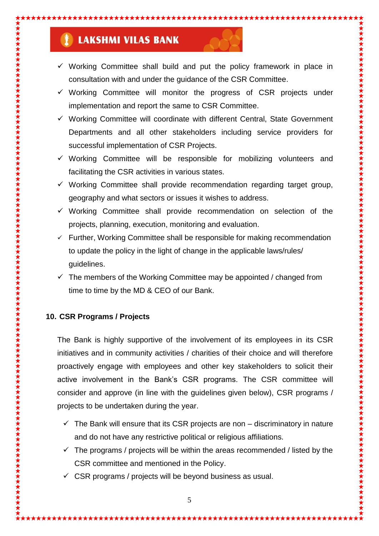- $\checkmark$  Working Committee shall build and put the policy framework in place in consultation with and under the guidance of the CSR Committee.
- $\checkmark$  Working Committee will monitor the progress of CSR projects under implementation and report the same to CSR Committee.
- $\checkmark$  Working Committee will coordinate with different Central, State Government Departments and all other stakeholders including service providers for successful implementation of CSR Projects.
- $\checkmark$  Working Committee will be responsible for mobilizing volunteers and facilitating the CSR activities in various states.
- $\checkmark$  Working Committee shall provide recommendation regarding target group, geography and what sectors or issues it wishes to address.
- $\checkmark$  Working Committee shall provide recommendation on selection of the projects, planning, execution, monitoring and evaluation.
- $\checkmark$  Further, Working Committee shall be responsible for making recommendation to update the policy in the light of change in the applicable laws/rules/ guidelines.
- $\checkmark$  The members of the Working Committee may be appointed / changed from time to time by the MD & CEO of our Bank.

## **10. CSR Programs / Projects**

The Bank is highly supportive of the involvement of its employees in its CSR initiatives and in community activities / charities of their choice and will therefore proactively engage with employees and other key stakeholders to solicit their active involvement in the Bank's CSR programs. The CSR committee will consider and approve (in line with the guidelines given below), CSR programs / projects to be undertaken during the year.

- $\checkmark$  The Bank will ensure that its CSR projects are non discriminatory in nature and do not have any restrictive political or religious affiliations.
- $\checkmark$  The programs / projects will be within the areas recommended / listed by the CSR committee and mentioned in the Policy.
- $\checkmark$  CSR programs / projects will be beyond business as usual.